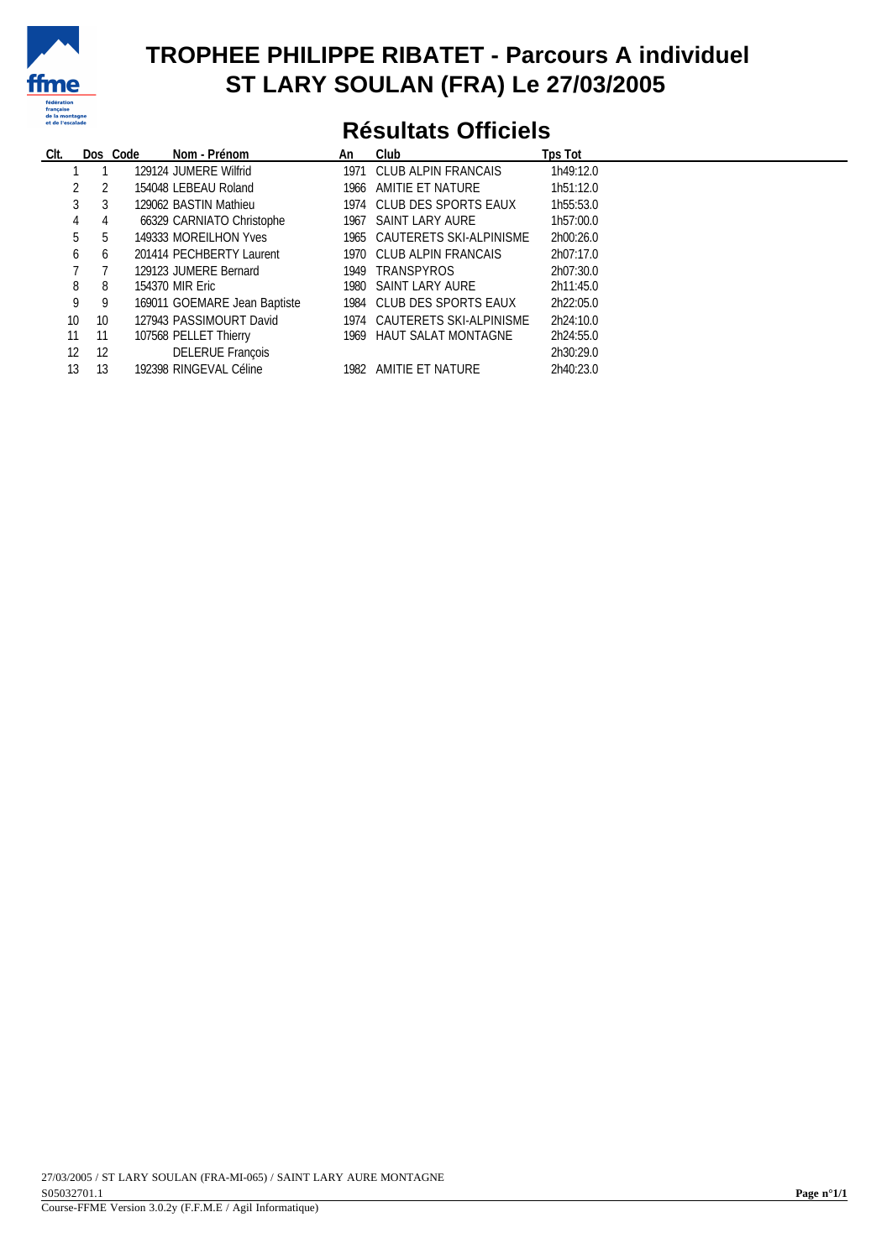

#### **TROPHEE PHILIPPE RIBATET - Parcours A individuel ST LARY SOULAN (FRA) Le 27/03/2005**

## **Résultats Officiels**

| CIt.            |          | Nom - Prénom<br>Dos Code     | An | Club                         | Tps Tot   |
|-----------------|----------|------------------------------|----|------------------------------|-----------|
|                 |          | 129124 JUMERE Wilfrid        |    | 1971 CLUB ALPIN FRANCAIS     | 1h49:12.0 |
|                 | 2        | 154048 LEBEAU Roland         |    | 1966 AMITIE ET NATURE        | 1h51:12.0 |
|                 | 3<br>3   | 129062 BASTIN Mathieu        |    | 1974 CLUB DES SPORTS EAUX    | 1h55:53.0 |
|                 | 4<br>4   | 66329 CARNIATO Christophe    |    | 1967 SAINT LARY AURE         | 1h57:00.0 |
|                 | 5<br>5   | 149333 MOREILHON Yves        |    | 1965 CAUTERETS SKI-ALPINISME | 2h00:26.0 |
|                 | 6<br>6   | 201414 PECHBERTY Laurent     |    | 1970 CLUB ALPIN FRANCAIS     | 2h07:17.0 |
|                 |          | 129123 JUMERE Bernard        |    | 1949 TRANSPYROS              | 2h07:30.0 |
|                 | 8<br>8   | 154370 MIR Eric              |    | 1980 SAINT LARY AURE         | 2h11:45.0 |
|                 | 9<br>9   | 169011 GOEMARE Jean Baptiste |    | 1984 CLUB DES SPORTS FAUX    | 2h22:05.0 |
| 10 <sup>°</sup> | 10       | 127943 PASSIMOURT David      |    | 1974 CAUTERETS SKI-ALPINISME | 2h24:10.0 |
| 11              | 11       | 107568 PELLET Thierry        |    | 1969 HAUT SALAT MONTAGNE     | 2h24:55.0 |
|                 | 12<br>12 | <b>DELERUE François</b>      |    |                              | 2h30:29.0 |
| 13              | 13       | 192398 RINGEVAL Céline       |    | 1982 AMITIE ET NATURE        | 2h40:23.0 |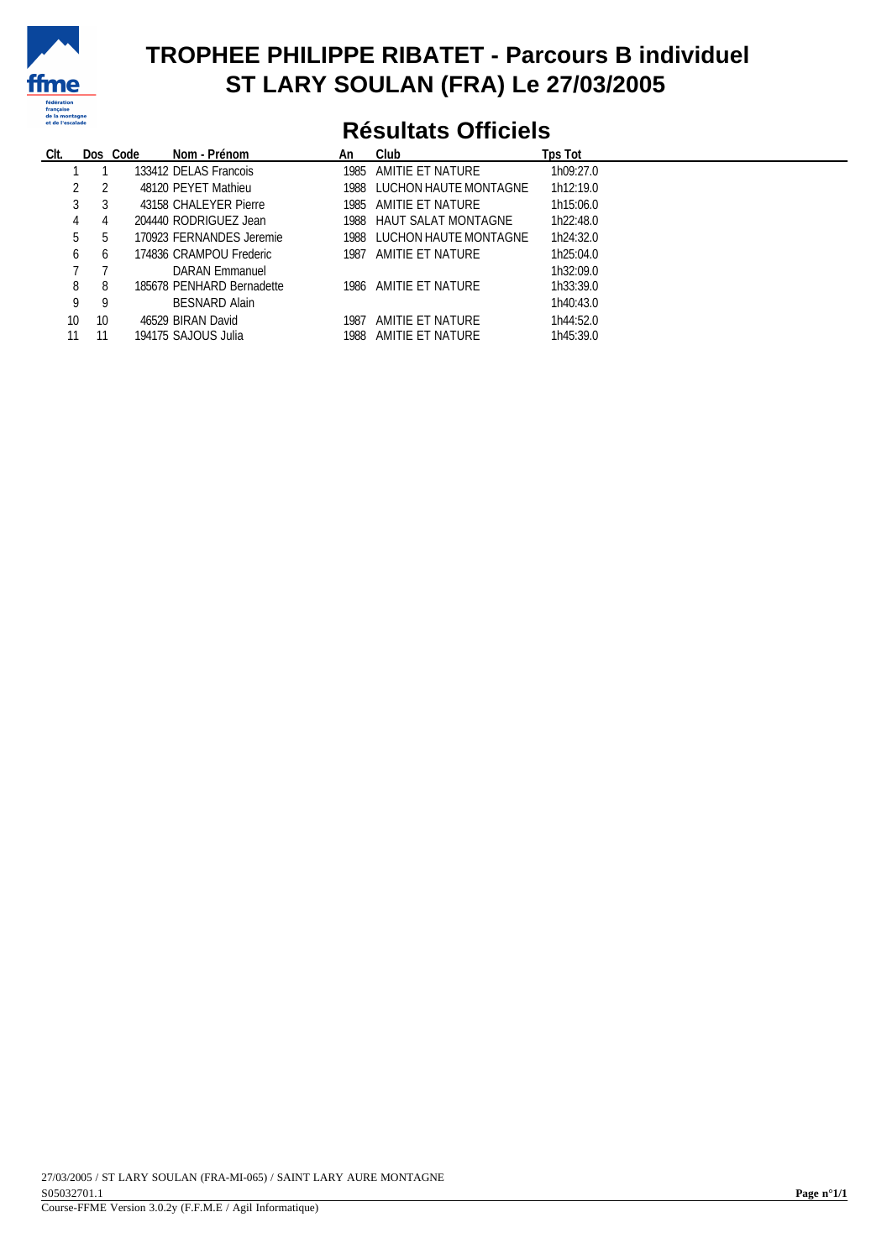

#### **TROPHEE PHILIPPE RIBATET - Parcours B individuel ST LARY SOULAN (FRA) Le 27/03/2005**

## **Résultats Officiels**

| CIt. |                    | Nom - Prénom<br>Dos Code  | An   | Club                       | Tps Tot   |
|------|--------------------|---------------------------|------|----------------------------|-----------|
|      |                    | 133412 DELAS Francois     |      | 1985 AMITIE ET NATURE      | 1h09:27.0 |
|      | 2                  | 48120 PEYET Mathieu       |      | 1988 LUCHON HAUTE MONTAGNE | 1h12:19.0 |
|      | 3                  | 43158 CHALEYER Pierre     |      | 1985 AMITIE ET NATURE      | 1h15:06.0 |
|      | 4                  | 204440 RODRIGUEZ Jean     |      | 1988 HAUT SALAT MONTAGNE   | 1h22:48.0 |
|      | 5<br>$\mathfrak h$ | 170923 FERNANDES Jeremie  |      | 1988 LUCHON HAUTE MONTAGNE | 1h24:32.0 |
|      | 6<br>6             | 174836 CRAMPOU Frederic   |      | 1987 AMITIE ET NATURE      | 1h25:04.0 |
|      |                    | DARAN Emmanuel            |      |                            | 1h32:09.0 |
|      | 8<br>8             | 185678 PENHARD Bernadette |      | 1986 AMITIE ET NATURE      | 1h33:39.0 |
|      | -9<br>9            | <b>BESNARD Alain</b>      |      |                            | 1h40:43.0 |
| 10   | 10                 | 46529 BIRAN David         | 1987 | AMITIE ET NATURE           | 1h44:52.0 |
| 11   | 11                 | 194175 SAJOUS Julia       |      | 1988 AMITIE ET NATURE      | 1h45:39.0 |